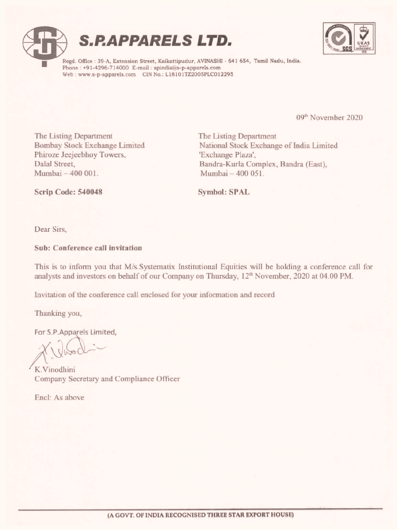



Regd. Office : 39-A, Extension Street, Kaikattipudur, AVINASHI - 641 654, Tamil Nadu, India. Phone : +91-4296-714000 E-mail : spindia@s-p-apparels.com Web : www.s-p-apparels.com CIN No.: L18101T2Z200SPLCO12295

09" November 2020

The Listing Department The Listing Department Phiroze Jeejeebhoy Towers, 'Exchange Plaza', Mumbai — 400 001. Mumbai — 400 051.

Bombay Stock Exchange Limited National Stock Exchange of India Limited Dalal Street, Bandra-Kurla Complex, Bandra (East),

Scrip Code: 540048 Symbol: SPAL

Dear Sirs,

Sub: Conference call invitation

This is to inform you that M/s.Systematix Institutional Equities will be holding a conference call for analysts and investors on behalf of our Company on Thursday, 12" November, 2020 at 04.00 PM.

Invitation of the conference call enclosed for your information and record

Thanking you,

For S.P.Apparels Limited,

K.Vinodhini Company Secretary and Compliance Officer

Encl: As above